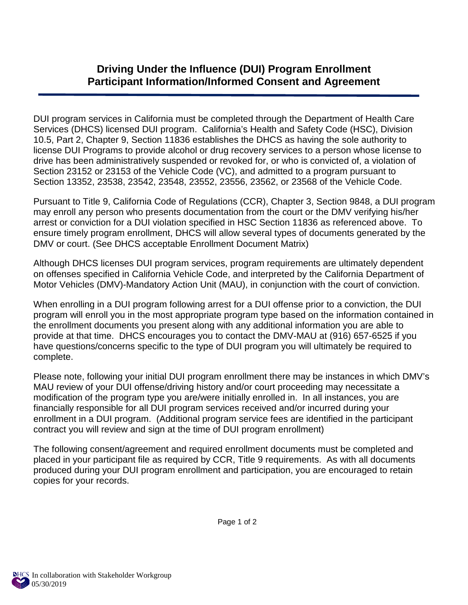## **Driving Under the Influence (DUI) Program Enrollment Participant Information/Informed Consent and Agreement**

DUI program services in California must be completed through the Department of Health Care Services (DHCS) licensed DUI program. California's Health and Safety Code (HSC), Division 10.5, Part 2, Chapter 9, Section 11836 establishes the DHCS as having the sole authority to license DUI Programs to provide alcohol or drug recovery services to a person whose license to drive has been administratively suspended or revoked for, or who is convicted of, a violation of Section 23152 or 23153 of the Vehicle Code (VC), and admitted to a program pursuant to Section 13352, 23538, 23542, 23548, 23552, 23556, 23562, or 23568 of the Vehicle Code.

Pursuant to Title 9, California Code of Regulations (CCR), Chapter 3, Section 9848, a DUI program may enroll any person who presents documentation from the court or the DMV verifying his/her arrest or conviction for a DUI violation specified in HSC Section 11836 as referenced above. To ensure timely program enrollment, DHCS will allow several types of documents generated by the DMV or court. (See DHCS acceptable Enrollment Document Matrix)

Although DHCS licenses DUI program services, program requirements are ultimately dependent on offenses specified in California Vehicle Code, and interpreted by the California Department of Motor Vehicles (DMV)-Mandatory Action Unit (MAU), in conjunction with the court of conviction.

When enrolling in a DUI program following arrest for a DUI offense prior to a conviction, the DUI program will enroll you in the most appropriate program type based on the information contained in the enrollment documents you present along with any additional information you are able to provide at that time. DHCS encourages you to contact the DMV-MAU at (916) 657-6525 if you have questions/concerns specific to the type of DUI program you will ultimately be required to complete.

Please note, following your initial DUI program enrollment there may be instances in which DMV's MAU review of your DUI offense/driving history and/or court proceeding may necessitate a modification of the program type you are/were initially enrolled in. In all instances, you are financially responsible for all DUI program services received and/or incurred during your enrollment in a DUI program. (Additional program service fees are identified in the participant contract you will review and sign at the time of DUI program enrollment)

The following consent/agreement and required enrollment documents must be completed and placed in your participant file as required by CCR, Title 9 requirements. As with all documents produced during your DUI program enrollment and participation, you are encouraged to retain copies for your records.